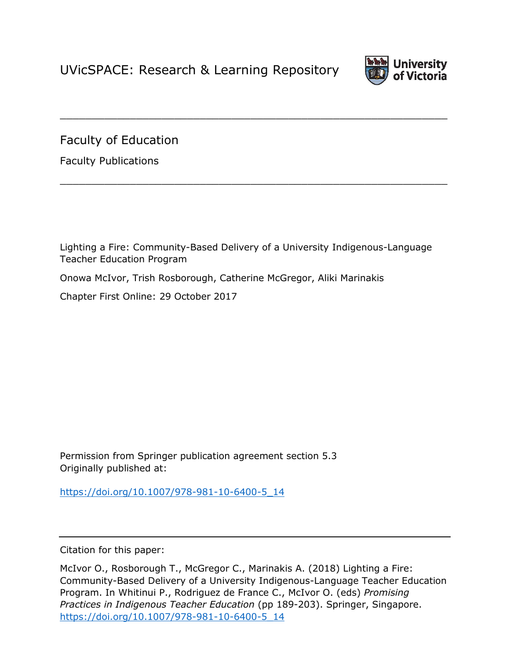

Faculty of Education

Faculty Publications

Lighting a Fire: Community-Based Delivery of a University Indigenous-Language Teacher Education Program

\_\_\_\_\_\_\_\_\_\_\_\_\_\_\_\_\_\_\_\_\_\_\_\_\_\_\_\_\_\_\_\_\_\_\_\_\_\_\_\_\_\_\_\_\_\_\_\_\_\_\_\_\_\_\_\_\_\_\_\_\_

\_\_\_\_\_\_\_\_\_\_\_\_\_\_\_\_\_\_\_\_\_\_\_\_\_\_\_\_\_\_\_\_\_\_\_\_\_\_\_\_\_\_\_\_\_\_\_\_\_\_\_\_\_\_\_\_\_\_\_\_\_

Onowa McIvor, Trish Rosborough, Catherine McGregor, Aliki Marinakis

Chapter First Online: 29 October 2017

Permission from Springer publication agreement section 5.3 Originally published at:

[https://doi.org/10.1007/978-981-10-6400-5\\_14](https://doi.org/10.1007/978-981-10-6400-5_14)

Citation for this paper:

McIvor O., Rosborough T., McGregor C., Marinakis A. (2018) Lighting a Fire: Community-Based Delivery of a University Indigenous-Language Teacher Education Program. In Whitinui P., Rodriguez de France C., McIvor O. (eds) *Promising Practices in Indigenous Teacher Education* (pp 189-203). Springer, Singapore. [https://doi.org/10.1007/978-981-10-6400-5\\_14](https://doi.org/10.1007/978-981-10-6400-5_14)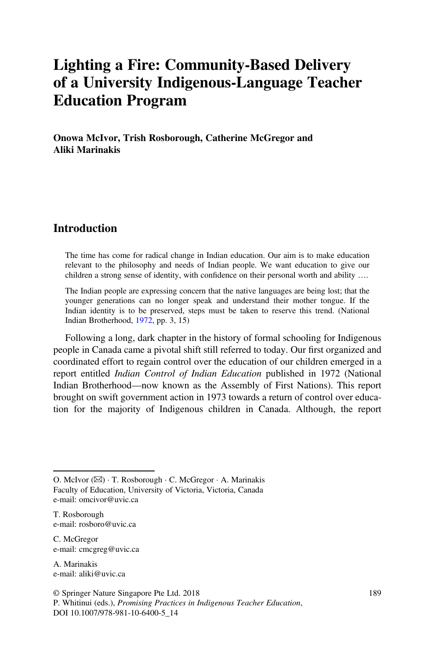# Lighting a Fire: Community-Based Delivery of a University Indigenous-Language Teacher Education Program

Onowa McIvor, Trish Rosborough, Catherine McGregor and Aliki Marinakis

# Introduction

The time has come for radical change in Indian education. Our aim is to make education relevant to the philosophy and needs of Indian people. We want education to give our children a strong sense of identity, with confidence on their personal worth and ability ….

The Indian people are expressing concern that the native languages are being lost; that the younger generations can no longer speak and understand their mother tongue. If the Indian identity is to be preserved, steps must be taken to reserve this trend. (National Indian Brotherhood, [1972,](#page-15-0) pp. 3, 15)

Following a long, dark chapter in the history of formal schooling for Indigenous people in Canada came a pivotal shift still referred to today. Our first organized and coordinated effort to regain control over the education of our children emerged in a report entitled Indian Control of Indian Education published in 1972 (National Indian Brotherhood—now known as the Assembly of First Nations). This report brought on swift government action in 1973 towards a return of control over education for the majority of Indigenous children in Canada. Although, the report

O. McIvor (✉) · T. Rosborough · C. McGregor · A. Marinakis Faculty of Education, University of Victoria, Victoria, Canada e-mail: omcivor@uvic.ca

T. Rosborough e-mail: rosboro@uvic.ca

C. McGregor e-mail: cmcgreg@uvic.ca

A. Marinakis e-mail: aliki@uvic.ca

<sup>©</sup> Springer Nature Singapore Pte Ltd. 2018 189 P. Whitinui (eds.), Promising Practices in Indigenous Teacher Education, DOI 10.1007/978-981-10-6400-5\_14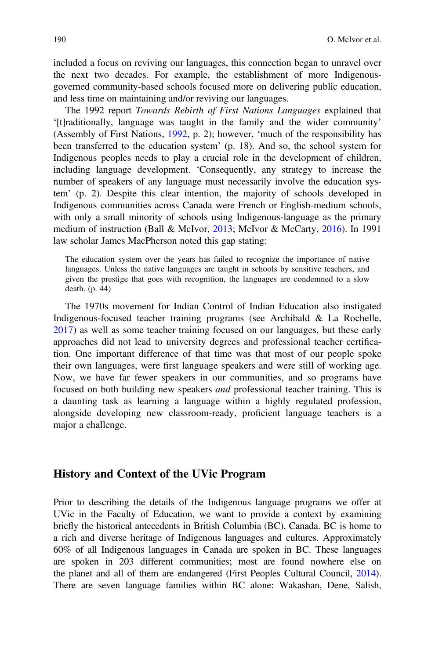included a focus on reviving our languages, this connection began to unravel over the next two decades. For example, the establishment of more Indigenousgoverned community-based schools focused more on delivering public education, and less time on maintaining and/or reviving our languages.

The 1992 report Towards Rebirth of First Nations Languages explained that '[t]raditionally, language was taught in the family and the wider community' (Assembly of First Nations, [1992](#page-14-0), p. 2); however, 'much of the responsibility has been transferred to the education system' (p. 18). And so, the school system for Indigenous peoples needs to play a crucial role in the development of children, including language development. 'Consequently, any strategy to increase the number of speakers of any language must necessarily involve the education system' (p. 2). Despite this clear intention, the majority of schools developed in Indigenous communities across Canada were French or English-medium schools, with only a small minority of schools using Indigenous-language as the primary medium of instruction (Ball & McIvor, [2013](#page-14-0); McIvor & McCarty, [2016](#page-15-0)). In 1991 law scholar James MacPherson noted this gap stating:

The education system over the years has failed to recognize the importance of native languages. Unless the native languages are taught in schools by sensitive teachers, and given the prestige that goes with recognition, the languages are condemned to a slow death. (p. 44)

The 1970s movement for Indian Control of Indian Education also instigated Indigenous-focused teacher training programs (see Archibald & La Rochelle, [2017](#page-14-0)) as well as some teacher training focused on our languages, but these early approaches did not lead to university degrees and professional teacher certification. One important difference of that time was that most of our people spoke their own languages, were first language speakers and were still of working age. Now, we have far fewer speakers in our communities, and so programs have focused on both building new speakers and professional teacher training. This is a daunting task as learning a language within a highly regulated profession, alongside developing new classroom-ready, proficient language teachers is a major a challenge.

#### History and Context of the UVic Program

Prior to describing the details of the Indigenous language programs we offer at UVic in the Faculty of Education, we want to provide a context by examining briefly the historical antecedents in British Columbia (BC), Canada. BC is home to a rich and diverse heritage of Indigenous languages and cultures. Approximately 60% of all Indigenous languages in Canada are spoken in BC. These languages are spoken in 203 different communities; most are found nowhere else on the planet and all of them are endangered (First Peoples Cultural Council, [2014\)](#page-14-0). There are seven language families within BC alone: Wakashan, Dene, Salish,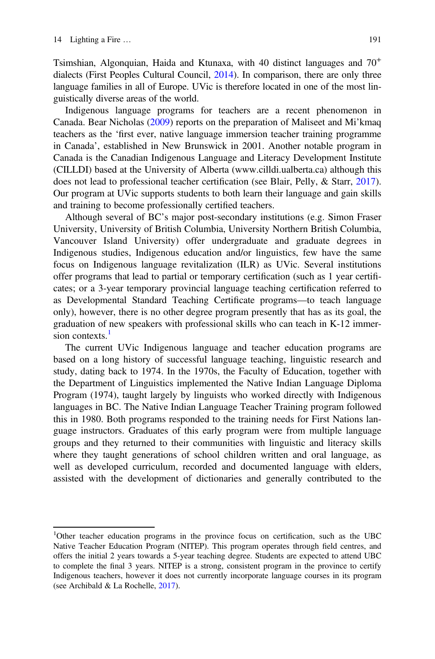Tsimshian, Algonquian, Haida and Ktunaxa, with 40 distinct languages and 70<sup>+</sup> dialects (First Peoples Cultural Council, [2014](#page-14-0)). In comparison, there are only three language families in all of Europe. UVic is therefore located in one of the most linguistically diverse areas of the world.

Indigenous language programs for teachers are a recent phenomenon in Canada. Bear Nicholas ([2009\)](#page-14-0) reports on the preparation of Maliseet and Mi'kmaq teachers as the 'first ever, native language immersion teacher training programme in Canada', established in New Brunswick in 2001. Another notable program in Canada is the Canadian Indigenous Language and Literacy Development Institute (CILLDI) based at the University of Alberta (www.cilldi.ualberta.ca) although this does not lead to professional teacher certification (see Blair, Pelly, & Starr, [2017\)](#page-14-0). Our program at UVic supports students to both learn their language and gain skills and training to become professionally certified teachers.

Although several of BC's major post-secondary institutions (e.g. Simon Fraser University, University of British Columbia, University Northern British Columbia, Vancouver Island University) offer undergraduate and graduate degrees in Indigenous studies, Indigenous education and/or linguistics, few have the same focus on Indigenous language revitalization (ILR) as UVic. Several institutions offer programs that lead to partial or temporary certification (such as 1 year certificates; or a 3-year temporary provincial language teaching certification referred to as Developmental Standard Teaching Certificate programs—to teach language only), however, there is no other degree program presently that has as its goal, the graduation of new speakers with professional skills who can teach in K-12 immersion contexts.<sup>1</sup>

The current UVic Indigenous language and teacher education programs are based on a long history of successful language teaching, linguistic research and study, dating back to 1974. In the 1970s, the Faculty of Education, together with the Department of Linguistics implemented the Native Indian Language Diploma Program (1974), taught largely by linguists who worked directly with Indigenous languages in BC. The Native Indian Language Teacher Training program followed this in 1980. Both programs responded to the training needs for First Nations language instructors. Graduates of this early program were from multiple language groups and they returned to their communities with linguistic and literacy skills where they taught generations of school children written and oral language, as well as developed curriculum, recorded and documented language with elders, assisted with the development of dictionaries and generally contributed to the

<sup>&</sup>lt;sup>1</sup>Other teacher education programs in the province focus on certification, such as the UBC Native Teacher Education Program (NITEP). This program operates through field centres, and offers the initial 2 years towards a 5-year teaching degree. Students are expected to attend UBC to complete the final 3 years. NITEP is a strong, consistent program in the province to certify Indigenous teachers, however it does not currently incorporate language courses in its program (see Archibald & La Rochelle, [2017](#page-14-0)).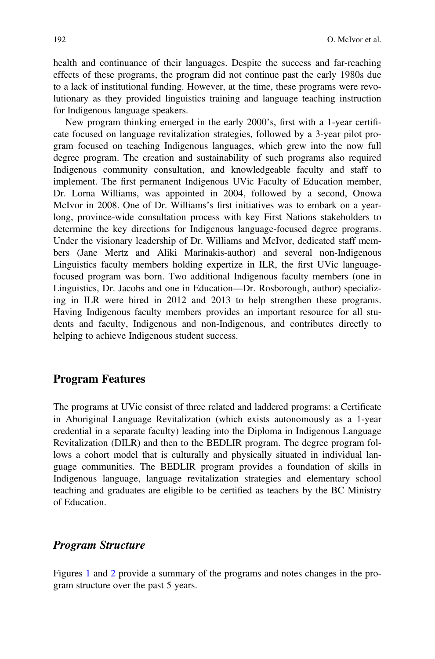health and continuance of their languages. Despite the success and far-reaching effects of these programs, the program did not continue past the early 1980s due to a lack of institutional funding. However, at the time, these programs were revolutionary as they provided linguistics training and language teaching instruction for Indigenous language speakers.

New program thinking emerged in the early 2000's, first with a 1-year certificate focused on language revitalization strategies, followed by a 3-year pilot program focused on teaching Indigenous languages, which grew into the now full degree program. The creation and sustainability of such programs also required Indigenous community consultation, and knowledgeable faculty and staff to implement. The first permanent Indigenous UVic Faculty of Education member, Dr. Lorna Williams, was appointed in 2004, followed by a second, Onowa McIvor in 2008. One of Dr. Williams's first initiatives was to embark on a yearlong, province-wide consultation process with key First Nations stakeholders to determine the key directions for Indigenous language-focused degree programs. Under the visionary leadership of Dr. Williams and McIvor, dedicated staff members (Jane Mertz and Aliki Marinakis-author) and several non-Indigenous Linguistics faculty members holding expertize in ILR, the first UVic languagefocused program was born. Two additional Indigenous faculty members (one in Linguistics, Dr. Jacobs and one in Education—Dr. Rosborough, author) specializing in ILR were hired in 2012 and 2013 to help strengthen these programs. Having Indigenous faculty members provides an important resource for all students and faculty, Indigenous and non-Indigenous, and contributes directly to helping to achieve Indigenous student success.

# Program Features

The programs at UVic consist of three related and laddered programs: a Certificate in Aboriginal Language Revitalization (which exists autonomously as a 1-year credential in a separate faculty) leading into the Diploma in Indigenous Language Revitalization (DILR) and then to the BEDLIR program. The degree program follows a cohort model that is culturally and physically situated in individual language communities. The BEDLIR program provides a foundation of skills in Indigenous language, language revitalization strategies and elementary school teaching and graduates are eligible to be certified as teachers by the BC Ministry of Education.

#### Program Structure

Figures [1](#page-5-0) and [2](#page-5-0) provide a summary of the programs and notes changes in the program structure over the past 5 years.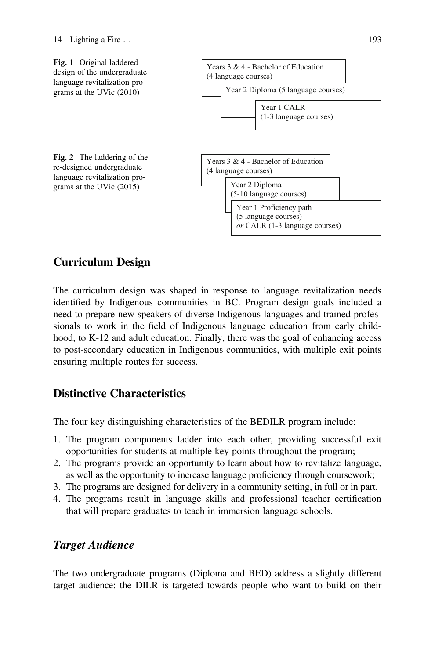<span id="page-5-0"></span>

# Curriculum Design

The curriculum design was shaped in response to language revitalization needs identified by Indigenous communities in BC. Program design goals included a need to prepare new speakers of diverse Indigenous languages and trained professionals to work in the field of Indigenous language education from early childhood, to K-12 and adult education. Finally, there was the goal of enhancing access to post-secondary education in Indigenous communities, with multiple exit points ensuring multiple routes for success.

# Distinctive Characteristics

The four key distinguishing characteristics of the BEDILR program include:

- 1. The program components ladder into each other, providing successful exit opportunities for students at multiple key points throughout the program;
- 2. The programs provide an opportunity to learn about how to revitalize language, as well as the opportunity to increase language proficiency through coursework;
- 3. The programs are designed for delivery in a community setting, in full or in part.
- 4. The programs result in language skills and professional teacher certification that will prepare graduates to teach in immersion language schools.

# Target Audience

The two undergraduate programs (Diploma and BED) address a slightly different target audience: the DILR is targeted towards people who want to build on their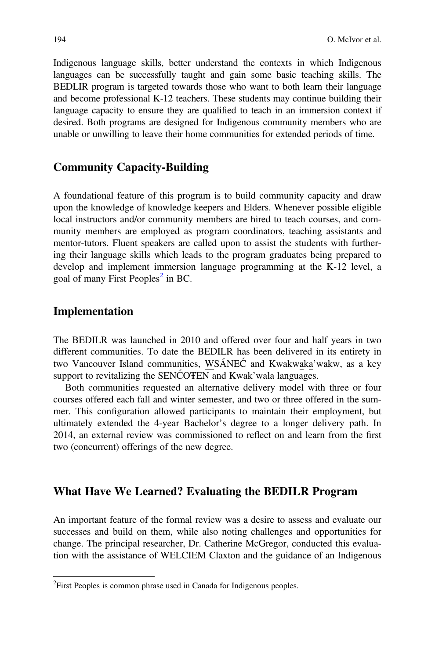Indigenous language skills, better understand the contexts in which Indigenous languages can be successfully taught and gain some basic teaching skills. The BEDLIR program is targeted towards those who want to both learn their language and become professional K-12 teachers. These students may continue building their language capacity to ensure they are qualified to teach in an immersion context if desired. Both programs are designed for Indigenous community members who are unable or unwilling to leave their home communities for extended periods of time.

### Community Capacity-Building

A foundational feature of this program is to build community capacity and draw upon the knowledge of knowledge keepers and Elders. Whenever possible eligible local instructors and/or community members are hired to teach courses, and community members are employed as program coordinators, teaching assistants and mentor-tutors. Fluent speakers are called upon to assist the students with furthering their language skills which leads to the program graduates being prepared to develop and implement immersion language programming at the K-12 level, a goal of many First Peoples<sup>2</sup> in BC.

#### Implementation

The BEDILR was launched in 2010 and offered over four and half years in two different communities. To date the BEDILR has been delivered in its entirety in two Vancouver Island communities, WSÁNEC and Kwakwaka'wakw, as a key support to revitalizing the SENCOTEN and Kwak'wala languages.

Both communities requested an alternative delivery model with three or four courses offered each fall and winter semester, and two or three offered in the summer. This configuration allowed participants to maintain their employment, but ultimately extended the 4-year Bachelor's degree to a longer delivery path. In 2014, an external review was commissioned to reflect on and learn from the first two (concurrent) offerings of the new degree.

# What Have We Learned? Evaluating the BEDILR Program

An important feature of the formal review was a desire to assess and evaluate our successes and build on them, while also noting challenges and opportunities for change. The principal researcher, Dr. Catherine McGregor, conducted this evaluation with the assistance of WELCIEM Claxton and the guidance of an Indigenous

<sup>&</sup>lt;sup>2</sup>First Peoples is common phrase used in Canada for Indigenous peoples.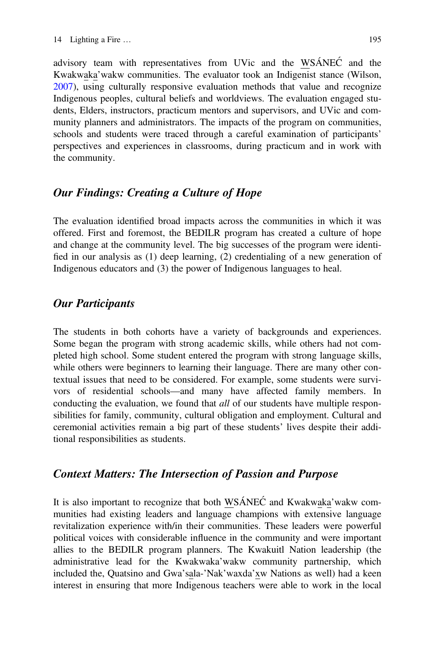advisory team with representatives from UVic and the WSÁNEC and the Kwakwaka'wakw communities. The evaluator took an Indigenist stance (Wilson, [2007\)](#page-15-0), using culturally responsive evaluation methods that value and recognize Indigenous peoples, cultural beliefs and worldviews. The evaluation engaged students, Elders, instructors, practicum mentors and supervisors, and UVic and community planners and administrators. The impacts of the program on communities, schools and students were traced through a careful examination of participants' perspectives and experiences in classrooms, during practicum and in work with the community.

# Our Findings: Creating a Culture of Hope

The evaluation identified broad impacts across the communities in which it was offered. First and foremost, the BEDILR program has created a culture of hope and change at the community level. The big successes of the program were identified in our analysis as (1) deep learning, (2) credentialing of a new generation of Indigenous educators and (3) the power of Indigenous languages to heal.

# Our Participants

The students in both cohorts have a variety of backgrounds and experiences. Some began the program with strong academic skills, while others had not completed high school. Some student entered the program with strong language skills, while others were beginners to learning their language. There are many other contextual issues that need to be considered. For example, some students were survivors of residential schools—and many have affected family members. In conducting the evaluation, we found that *all* of our students have multiple responsibilities for family, community, cultural obligation and employment. Cultural and ceremonial activities remain a big part of these students' lives despite their additional responsibilities as students.

# Context Matters: The Intersection of Passion and Purpose

It is also important to recognize that both WSÁNEC and Kwakwaka'wakw communities had existing leaders and language champions with extensive language revitalization experience with/in their communities. These leaders were powerful political voices with considerable influence in the community and were important allies to the BEDILR program planners. The Kwakuitl Nation leadership (the administrative lead for the Kwakwaka'wakw community partnership, which included the, Quatsino and Gwa'sala-'Nak'waxda'xw Nations as well) had a keen interest in ensuring that more Indigenous teachers were able to work in the local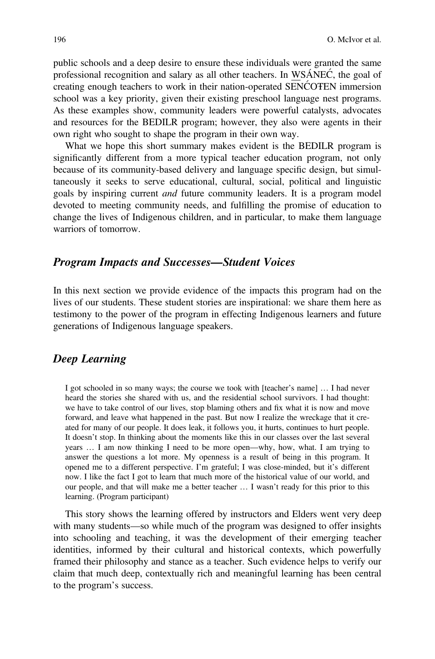public schools and a deep desire to ensure these individuals were granted the same professional recognition and salary as all other teachers. In WSÁNEC, the goal of ´ creating enough teachers to work in their nation-operated SENCOTEN immersion school was a key priority, given their existing preschool language nest programs. As these examples show, community leaders were powerful catalysts, advocates and resources for the BEDILR program; however, they also were agents in their own right who sought to shape the program in their own way.

What we hope this short summary makes evident is the BEDILR program is significantly different from a more typical teacher education program, not only because of its community-based delivery and language specific design, but simultaneously it seeks to serve educational, cultural, social, political and linguistic goals by inspiring current and future community leaders. It is a program model devoted to meeting community needs, and fulfilling the promise of education to change the lives of Indigenous children, and in particular, to make them language warriors of tomorrow.

#### Program Impacts and Successes—Student Voices

In this next section we provide evidence of the impacts this program had on the lives of our students. These student stories are inspirational: we share them here as testimony to the power of the program in effecting Indigenous learners and future generations of Indigenous language speakers.

# Deep Learning

I got schooled in so many ways; the course we took with [teacher's name] … I had never heard the stories she shared with us, and the residential school survivors. I had thought: we have to take control of our lives, stop blaming others and fix what it is now and move forward, and leave what happened in the past. But now I realize the wreckage that it created for many of our people. It does leak, it follows you, it hurts, continues to hurt people. It doesn't stop. In thinking about the moments like this in our classes over the last several years … I am now thinking I need to be more open—why, how, what. I am trying to answer the questions a lot more. My openness is a result of being in this program. It opened me to a different perspective. I'm grateful; I was close-minded, but it's different now. I like the fact I got to learn that much more of the historical value of our world, and our people, and that will make me a better teacher … I wasn't ready for this prior to this learning. (Program participant)

This story shows the learning offered by instructors and Elders went very deep with many students—so while much of the program was designed to offer insights into schooling and teaching, it was the development of their emerging teacher identities, informed by their cultural and historical contexts, which powerfully framed their philosophy and stance as a teacher. Such evidence helps to verify our claim that much deep, contextually rich and meaningful learning has been central to the program's success.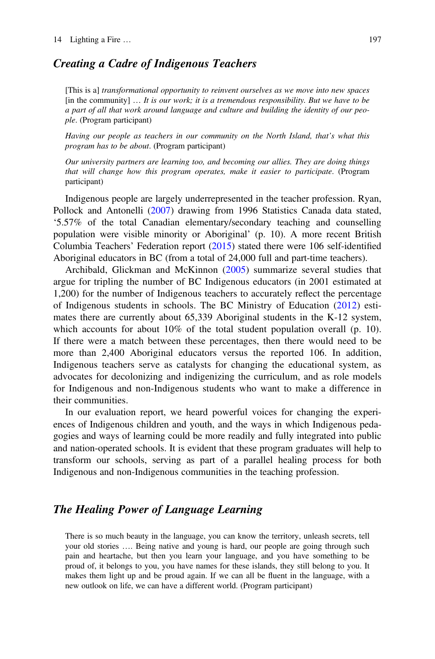### Creating a Cadre of Indigenous Teachers

[This is a] transformational opportunity to reinvent ourselves as we move into new spaces [in the community]  $\ldots$  It is our work; it is a tremendous responsibility. But we have to be a part of all that work around language and culture and building the identity of our people. (Program participant)

Having our people as teachers in our community on the North Island, that's what this program has to be about. (Program participant)

Our university partners are learning too, and becoming our allies. They are doing things that will change how this program operates, make it easier to participate. (Program participant)

Indigenous people are largely underrepresented in the teacher profession. Ryan, Pollock and Antonelli [\(2007](#page-15-0)) drawing from 1996 Statistics Canada data stated, '5.57% of the total Canadian elementary/secondary teaching and counselling population were visible minority or Aboriginal' (p. 10). A more recent British Columbia Teachers' Federation report [\(2015](#page-14-0)) stated there were 106 self-identified Aboriginal educators in BC (from a total of 24,000 full and part-time teachers).

Archibald, Glickman and McKinnon [\(2005\)](#page-14-0) summarize several studies that argue for tripling the number of BC Indigenous educators (in 2001 estimated at 1,200) for the number of Indigenous teachers to accurately reflect the percentage of Indigenous students in schools. The BC Ministry of Education [\(2012\)](#page-14-0) estimates there are currently about 65,339 Aboriginal students in the K-12 system, which accounts for about 10% of the total student population overall (p. 10). If there were a match between these percentages, then there would need to be more than 2,400 Aboriginal educators versus the reported 106. In addition, Indigenous teachers serve as catalysts for changing the educational system, as advocates for decolonizing and indigenizing the curriculum, and as role models for Indigenous and non-Indigenous students who want to make a difference in their communities.

In our evaluation report, we heard powerful voices for changing the experiences of Indigenous children and youth, and the ways in which Indigenous pedagogies and ways of learning could be more readily and fully integrated into public and nation-operated schools. It is evident that these program graduates will help to transform our schools, serving as part of a parallel healing process for both Indigenous and non-Indigenous communities in the teaching profession.

# The Healing Power of Language Learning

There is so much beauty in the language, you can know the territory, unleash secrets, tell your old stories …. Being native and young is hard, our people are going through such pain and heartache, but then you learn your language, and you have something to be proud of, it belongs to you, you have names for these islands, they still belong to you. It makes them light up and be proud again. If we can all be fluent in the language, with a new outlook on life, we can have a different world. (Program participant)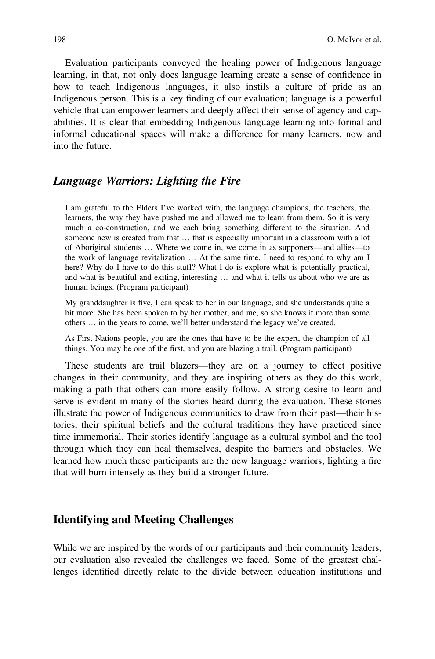Evaluation participants conveyed the healing power of Indigenous language learning, in that, not only does language learning create a sense of confidence in how to teach Indigenous languages, it also instils a culture of pride as an Indigenous person. This is a key finding of our evaluation; language is a powerful vehicle that can empower learners and deeply affect their sense of agency and capabilities. It is clear that embedding Indigenous language learning into formal and informal educational spaces will make a difference for many learners, now and into the future.

### Language Warriors: Lighting the Fire

I am grateful to the Elders I've worked with, the language champions, the teachers, the learners, the way they have pushed me and allowed me to learn from them. So it is very much a co-construction, and we each bring something different to the situation. And someone new is created from that … that is especially important in a classroom with a lot of Aboriginal students … Where we come in, we come in as supporters—and allies—to the work of language revitalization … At the same time, I need to respond to why am I here? Why do I have to do this stuff? What I do is explore what is potentially practical, and what is beautiful and exiting, interesting … and what it tells us about who we are as human beings. (Program participant)

My granddaughter is five, I can speak to her in our language, and she understands quite a bit more. She has been spoken to by her mother, and me, so she knows it more than some others … in the years to come, we'll better understand the legacy we've created.

As First Nations people, you are the ones that have to be the expert, the champion of all things. You may be one of the first, and you are blazing a trail. (Program participant)

These students are trail blazers—they are on a journey to effect positive changes in their community, and they are inspiring others as they do this work, making a path that others can more easily follow. A strong desire to learn and serve is evident in many of the stories heard during the evaluation. These stories illustrate the power of Indigenous communities to draw from their past—their histories, their spiritual beliefs and the cultural traditions they have practiced since time immemorial. Their stories identify language as a cultural symbol and the tool through which they can heal themselves, despite the barriers and obstacles. We learned how much these participants are the new language warriors, lighting a fire that will burn intensely as they build a stronger future.

### Identifying and Meeting Challenges

While we are inspired by the words of our participants and their community leaders, our evaluation also revealed the challenges we faced. Some of the greatest challenges identified directly relate to the divide between education institutions and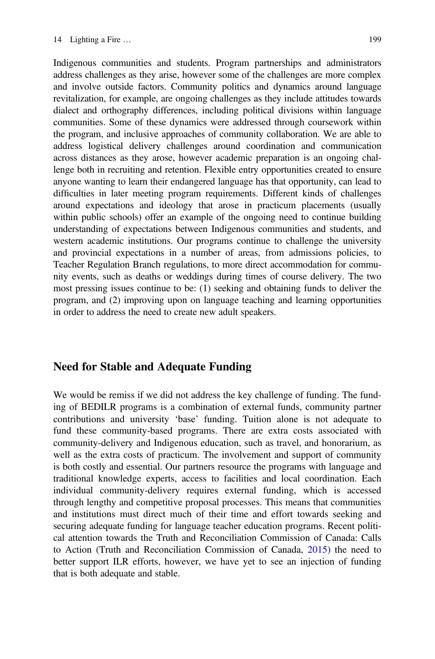Indigenous communities and students. Program partnerships and administrators address challenges as they arise, however some of the challenges are more complex and involve outside factors. Community politics and dynamics around language revitalization, for example, are ongoing challenges as they include attitudes towards dialect and orthography differences, including political divisions within language communities. Some of these dynamics were addressed through coursework within the program, and inclusive approaches of community collaboration. We are able to address logistical delivery challenges around coordination and communication across distances as they arose, however academic preparation is an ongoing challenge both in recruiting and retention. Flexible entry opportunities created to ensure anyone wanting to learn their endangered language has that opportunity, can lead to difficulties in later meeting program requirements. Different kinds of challenges around expectations and ideology that arose in practicum placements (usually within public schools) offer an example of the ongoing need to continue building understanding of expectations between Indigenous communities and students, and western academic institutions. Our programs continue to challenge the university and provincial expectations in a number of areas, from admissions policies, to Teacher Regulation Branch regulations, to more direct accommodation for community events, such as deaths or weddings during times of course delivery. The two most pressing issues continue to be: (1) seeking and obtaining funds to deliver the program, and (2) improving upon on language teaching and learning opportunities in order to address the need to create new adult speakers.

#### Need for Stable and Adequate Funding

We would be remiss if we did not address the key challenge of funding. The funding of BEDILR programs is a combination of external funds, community partner contributions and university 'base' funding. Tuition alone is not adequate to fund these community-based programs. There are extra costs associated with community-delivery and Indigenous education, such as travel, and honorarium, as well as the extra costs of practicum. The involvement and support of community is both costly and essential. Our partners resource the programs with language and traditional knowledge experts, access to facilities and local coordination. Each individual community-delivery requires external funding, which is accessed through lengthy and competitive proposal processes. This means that communities and institutions must direct much of their time and effort towards seeking and securing adequate funding for language teacher education programs. Recent political attention towards the Truth and Reconciliation Commission of Canada: Calls to Action (Truth and Reconciliation Commission of Canada, [2015\)](#page-15-0) the need to better support ILR efforts, however, we have yet to see an injection of funding that is both adequate and stable.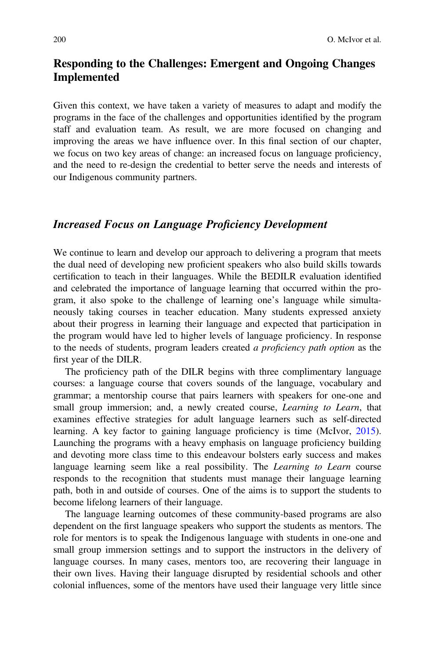# Responding to the Challenges: Emergent and Ongoing Changes Implemented

Given this context, we have taken a variety of measures to adapt and modify the programs in the face of the challenges and opportunities identified by the program staff and evaluation team. As result, we are more focused on changing and improving the areas we have influence over. In this final section of our chapter, we focus on two key areas of change: an increased focus on language proficiency, and the need to re-design the credential to better serve the needs and interests of our Indigenous community partners.

## Increased Focus on Language Proficiency Development

We continue to learn and develop our approach to delivering a program that meets the dual need of developing new proficient speakers who also build skills towards certification to teach in their languages. While the BEDILR evaluation identified and celebrated the importance of language learning that occurred within the program, it also spoke to the challenge of learning one's language while simultaneously taking courses in teacher education. Many students expressed anxiety about their progress in learning their language and expected that participation in the program would have led to higher levels of language proficiency. In response to the needs of students, program leaders created a proficiency path option as the first year of the DILR.

The proficiency path of the DILR begins with three complimentary language courses: a language course that covers sounds of the language, vocabulary and grammar; a mentorship course that pairs learners with speakers for one-one and small group immersion; and, a newly created course, Learning to Learn, that examines effective strategies for adult language learners such as self-directed learning. A key factor to gaining language proficiency is time (McIvor, [2015\)](#page-15-0). Launching the programs with a heavy emphasis on language proficiency building and devoting more class time to this endeavour bolsters early success and makes language learning seem like a real possibility. The *Learning to Learn* course responds to the recognition that students must manage their language learning path, both in and outside of courses. One of the aims is to support the students to become lifelong learners of their language.

The language learning outcomes of these community-based programs are also dependent on the first language speakers who support the students as mentors. The role for mentors is to speak the Indigenous language with students in one-one and small group immersion settings and to support the instructors in the delivery of language courses. In many cases, mentors too, are recovering their language in their own lives. Having their language disrupted by residential schools and other colonial influences, some of the mentors have used their language very little since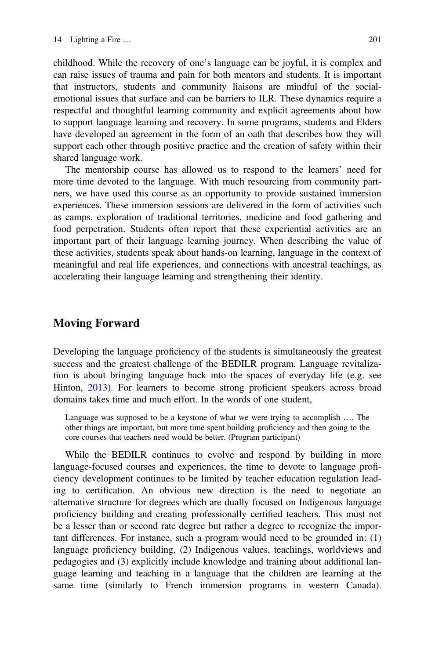childhood. While the recovery of one's language can be joyful, it is complex and can raise issues of trauma and pain for both mentors and students. It is important that instructors, students and community liaisons are mindful of the socialemotional issues that surface and can be barriers to ILR. These dynamics require a respectful and thoughtful learning community and explicit agreements about how to support language learning and recovery. In some programs, students and Elders have developed an agreement in the form of an oath that describes how they will support each other through positive practice and the creation of safety within their shared language work.

The mentorship course has allowed us to respond to the learners' need for more time devoted to the language. With much resourcing from community partners, we have used this course as an opportunity to provide sustained immersion experiences. These immersion sessions are delivered in the form of activities such as camps, exploration of traditional territories, medicine and food gathering and food perpetration. Students often report that these experiential activities are an important part of their language learning journey. When describing the value of these activities, students speak about hands-on learning, language in the context of meaningful and real life experiences, and connections with ancestral teachings, as accelerating their language learning and strengthening their identity.

#### Moving Forward

Developing the language proficiency of the students is simultaneously the greatest success and the greatest challenge of the BEDILR program. Language revitalization is about bringing language back into the spaces of everyday life (e.g. see Hinton, [2013\)](#page-14-0). For learners to become strong proficient speakers across broad domains takes time and much effort. In the words of one student,

Language was supposed to be a keystone of what we were trying to accomplish …. The other things are important, but more time spent building proficiency and then going to the core courses that teachers need would be better. (Program participant)

While the BEDILR continues to evolve and respond by building in more language-focused courses and experiences, the time to devote to language proficiency development continues to be limited by teacher education regulation leading to certification. An obvious new direction is the need to negotiate an alternative structure for degrees which are dually focused on Indigenous language proficiency building and creating professionally certified teachers. This must not be a lesser than or second rate degree but rather a degree to recognize the important differences. For instance, such a program would need to be grounded in: (1) language proficiency building, (2) Indigenous values, teachings, worldviews and pedagogies and (3) explicitly include knowledge and training about additional language learning and teaching in a language that the children are learning at the same time (similarly to French immersion programs in western Canada).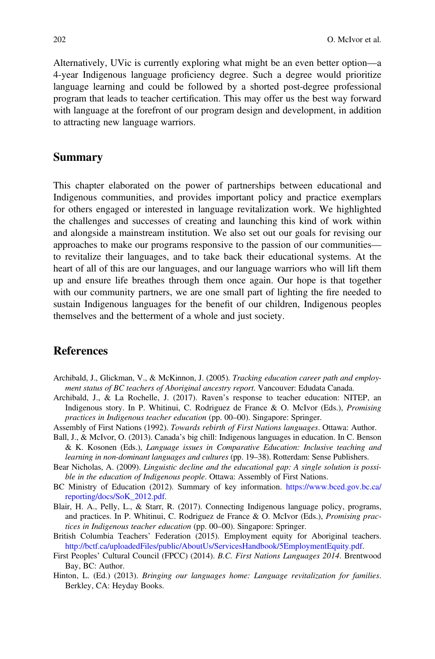<span id="page-14-0"></span>Alternatively, UVic is currently exploring what might be an even better option—a 4-year Indigenous language proficiency degree. Such a degree would prioritize language learning and could be followed by a shorted post-degree professional program that leads to teacher certification. This may offer us the best way forward with language at the forefront of our program design and development, in addition to attracting new language warriors.

#### Summary

This chapter elaborated on the power of partnerships between educational and Indigenous communities, and provides important policy and practice exemplars for others engaged or interested in language revitalization work. We highlighted the challenges and successes of creating and launching this kind of work within and alongside a mainstream institution. We also set out our goals for revising our approaches to make our programs responsive to the passion of our communities to revitalize their languages, and to take back their educational systems. At the heart of all of this are our languages, and our language warriors who will lift them up and ensure life breathes through them once again. Our hope is that together with our community partners, we are one small part of lighting the fire needed to sustain Indigenous languages for the benefit of our children, Indigenous peoples themselves and the betterment of a whole and just society.

# References

- Archibald, J., Glickman, V., & McKinnon, J. (2005). Tracking education career path and employment status of BC teachers of Aboriginal ancestry report. Vancouver: Edudata Canada.
- Archibald, J., & La Rochelle, J. (2017). Raven's response to teacher education: NITEP, an Indigenous story. In P. Whitinui, C. Rodriguez de France & O. McIvor (Eds.), Promising practices in Indigenous teacher education (pp. 00–00). Singapore: Springer.
- Assembly of First Nations (1992). Towards rebirth of First Nations languages. Ottawa: Author.
- Ball, J., & McIvor, O. (2013). Canada's big chill: Indigenous languages in education. In C. Benson & K. Kosonen (Eds.), Language issues in Comparative Education: Inclusive teaching and learning in non-dominant languages and cultures (pp. 19–38). Rotterdam: Sense Publishers.
- Bear Nicholas, A. (2009). Linguistic decline and the educational gap: A single solution is possible in the education of Indigenous people. Ottawa: Assembly of First Nations.
- BC Ministry of Education (2012). Summary of key information. [https://www.bced.gov.bc.ca/](https://www.bced.gov.bc.ca/reporting/docs/SoK_2012.pdf) [reporting/docs/SoK\\_2012.pdf](https://www.bced.gov.bc.ca/reporting/docs/SoK_2012.pdf).
- Blair, H. A., Pelly, L., & Starr, R. (2017). Connecting Indigenous language policy, programs, and practices. In P. Whitinui, C. Rodriguez de France & O. McIvor (Eds.), Promising practices in Indigenous teacher education (pp. 00–00). Singapore: Springer.
- British Columbia Teachers' Federation (2015). Employment equity for Aboriginal teachers. <http://bctf.ca/uploadedFiles/public/AboutUs/ServicesHandbook/5EmploymentEquity.pdf>.
- First Peoples' Cultural Council (FPCC) (2014). B.C. First Nations Languages 2014. Brentwood Bay, BC: Author.
- Hinton, L. (Ed.) (2013). Bringing our languages home: Language revitalization for families. Berkley, CA: Heyday Books.